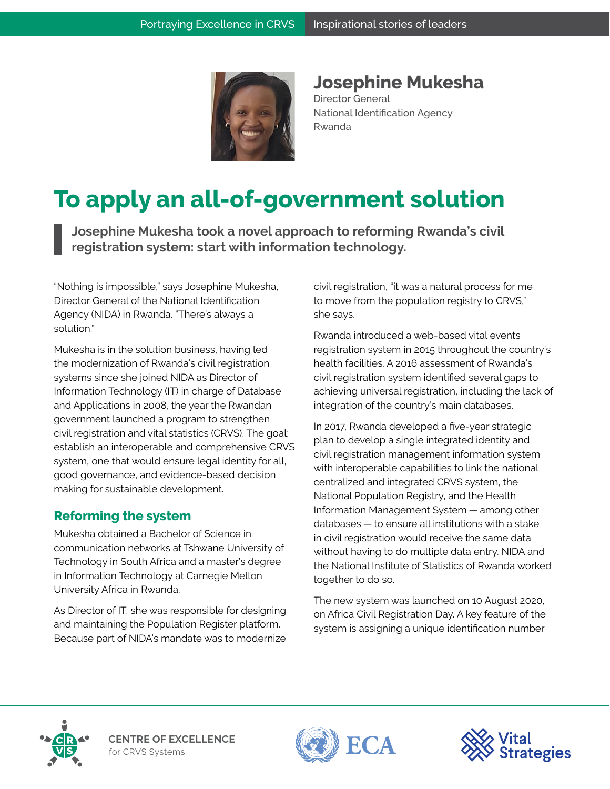

**Josephine Mukesha**

Director General National Identification Agency Rwanda

# **To apply an all-of-government solution**

**Josephine Mukesha took a novel approach to reforming Rwanda's civil registration system: start with information technology.**

"Nothing is impossible," says Josephine Mukesha, Director General of the National Identification Agency (NIDA) in Rwanda. "There's always a solution."

Mukesha is in the solution business, having led the modernization of Rwanda's civil registration systems since she joined NIDA as Director of Information Technology (IT) in charge of Database and Applications in 2008, the year the Rwandan government launched a program to strengthen civil registration and vital statistics (CRVS). The goal: establish an interoperable and comprehensive CRVS system, one that would ensure legal identity for all, good governance, and evidence-based decision making for sustainable development.

## **Reforming the system**

Mukesha obtained a Bachelor of Science in communication networks at Tshwane University of Technology in South Africa and a master's degree in Information Technology at Carnegie Mellon University Africa in Rwanda.

As Director of IT, she was responsible for designing and maintaining the Population Register platform. Because part of NIDA's mandate was to modernize civil registration, "it was a natural process for me to move from the population registry to CRVS," she says.

Rwanda introduced a web-based vital events registration system in 2015 throughout the country's health facilities. A 2016 assessment of Rwanda's civil registration system identified several gaps to achieving universal registration, including the lack of integration of the country's main databases.

In 2017, Rwanda developed a five-year strategic plan to develop a single integrated identity and civil registration management information system with interoperable capabilities to link the national centralized and integrated CRVS system, the National Population Registry, and the Health Information Management System — among other  $databases - to ensure all institutions with a stake$ in civil registration would receive the same data without having to do multiple data entry. NIDA and the National Institute of Statistics of Rwanda worked together to do so.

The new system was launched on 10 August 2020, on Africa Civil Registration Day. A key feature of the system is assigning a unique identification number